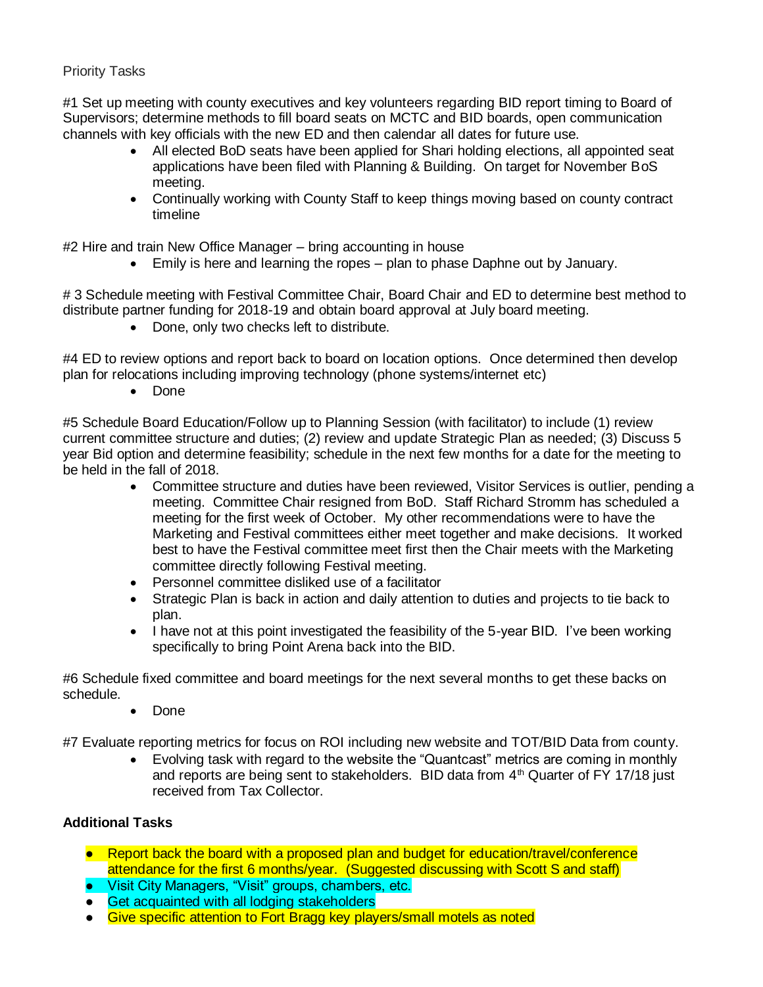## Priority Tasks

#1 Set up meeting with county executives and key volunteers regarding BID report timing to Board of Supervisors; determine methods to fill board seats on MCTC and BID boards, open communication channels with key officials with the new ED and then calendar all dates for future use.

- All elected BoD seats have been applied for Shari holding elections, all appointed seat applications have been filed with Planning & Building. On target for November BoS meeting.
- Continually working with County Staff to keep things moving based on county contract timeline

#2 Hire and train New Office Manager – bring accounting in house

• Emily is here and learning the ropes – plan to phase Daphne out by January.

#3 Schedule meeting with Festival Committee Chair, Board Chair and ED to determine best method to distribute partner funding for 2018-19 and obtain board approval at July board meeting.

• Done, only two checks left to distribute.

#4 ED to review options and report back to board on location options. Once determined then develop plan for relocations including improving technology (phone systems/internet etc)

• Done

#5 Schedule Board Education/Follow up to Planning Session (with facilitator) to include (1) review current committee structure and duties; (2) review and update Strategic Plan as needed; (3) Discuss 5 year Bid option and determine feasibility; schedule in the next few months for a date for the meeting to be held in the fall of 2018.

- Committee structure and duties have been reviewed, Visitor Services is outlier, pending a meeting. Committee Chair resigned from BoD. Staff Richard Stromm has scheduled a meeting for the first week of October. My other recommendations were to have the Marketing and Festival committees either meet together and make decisions. It worked best to have the Festival committee meet first then the Chair meets with the Marketing committee directly following Festival meeting.
- Personnel committee disliked use of a facilitator
- Strategic Plan is back in action and daily attention to duties and projects to tie back to plan.
- I have not at this point investigated the feasibility of the 5-year BID. I've been working specifically to bring Point Arena back into the BID.

#6 Schedule fixed committee and board meetings for the next several months to get these backs on schedule.

• Done

#7 Evaluate reporting metrics for focus on ROI including new website and TOT/BID Data from county.

• Evolving task with regard to the website the "Quantcast" metrics are coming in monthly and reports are being sent to stakeholders. BID data from  $4<sup>th</sup>$  Quarter of FY 17/18 just received from Tax Collector.

## **Additional Tasks**

- Report back the board with a proposed plan and budget for education/travel/conference attendance for the first 6 months/year. (Suggested discussing with Scott S and staff)
- Visit City Managers, "Visit" groups, chambers, etc.
- Get acquainted with all lodging stakeholders
- Give specific attention to Fort Bragg key players/small motels as noted